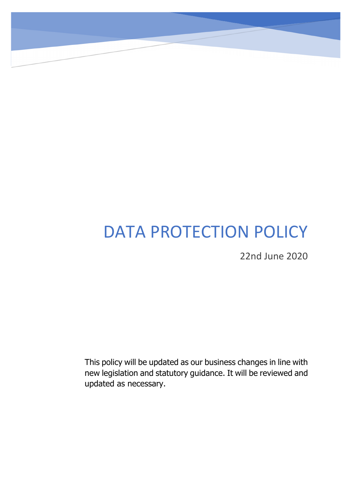# DATA PROTECTION POLICY

Data

22nd June 2020

This policy will be updated as our business changes in line with new legislation and statutory guidance. It will be reviewed and updated as necessary.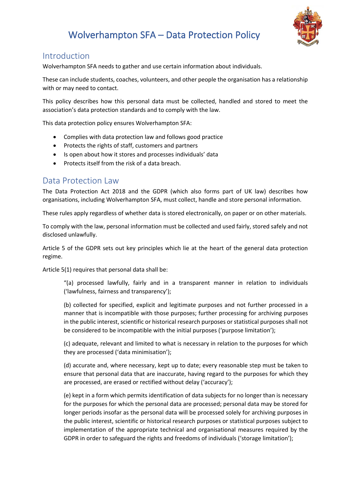

### Introduction

Wolverhampton SFA needs to gather and use certain information about individuals.

These can include students, coaches, volunteers, and other people the organisation has a relationship with or may need to contact.

This policy describes how this personal data must be collected, handled and stored to meet the association's data protection standards and to comply with the law.

This data protection policy ensures Wolverhampton SFA:

- Complies with data protection law and follows good practice
- Protects the rights of staff, customers and partners
- Is open about how it stores and processes individuals' data
- Protects itself from the risk of a data breach.

#### Data Protection Law

The Data Protection Act 2018 and the GDPR (which also forms part of UK law) describes how organisations, including Wolverhampton SFA, must collect, handle and store personal information.

These rules apply regardless of whether data is stored electronically, on paper or on other materials.

To comply with the law, personal information must be collected and used fairly, stored safely and not disclosed unlawfully.

Article 5 of the GDPR sets out key principles which lie at the heart of the general data protection regime.

Article 5(1) requires that personal data shall be:

"(a) processed lawfully, fairly and in a transparent manner in relation to individuals ('lawfulness, fairness and transparency');

(b) collected for specified, explicit and legitimate purposes and not further processed in a manner that is incompatible with those purposes; further processing for archiving purposes in the public interest, scientific or historical research purposes or statistical purposes shall not be considered to be incompatible with the initial purposes ('purpose limitation');

(c) adequate, relevant and limited to what is necessary in relation to the purposes for which they are processed ('data minimisation');

(d) accurate and, where necessary, kept up to date; every reasonable step must be taken to ensure that personal data that are inaccurate, having regard to the purposes for which they are processed, are erased or rectified without delay ('accuracy');

(e) kept in a form which permits identification of data subjects for no longer than is necessary for the purposes for which the personal data are processed; personal data may be stored for longer periods insofar as the personal data will be processed solely for archiving purposes in the public interest, scientific or historical research purposes or statistical purposes subject to implementation of the appropriate technical and organisational measures required by the GDPR in order to safeguard the rights and freedoms of individuals ('storage limitation');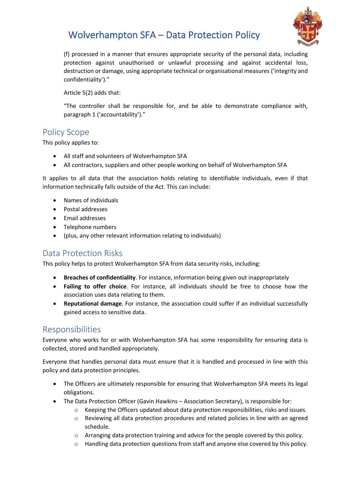

(f) processed in a manner that ensures appropriate security of the personal data, including protection against unauthorised or unlawful processing and against accidental loss, destruction or damage, using appropriate technical or organisational measures ('integrity and confidentiality')."

Article 5(2) adds that:

"The controller shall be responsible for, and be able to demonstrate compliance with, paragraph 1 ('accountability')."

### Policy Scope

This policy applies to:

- All staff and volunteers of Wolverhampton SFA
- All contractors, suppliers and other people working on behalf of Wolverhampton SFA

It applies to all data that the association holds relating to identifiable individuals, even if that information technically falls outside of the Act. This can include:

- Names of individuals
- Postal addresses
- Email addresses
- Telephone numbers
- (plus, any other relevant information relating to individuals)

### Data Protection Risks

This policy helps to protect Wolverhampton SFA from data security risks, including:

- **Breaches of confidentiality**. For instance, information being given out inappropriately
- **Failing to offer choice**. For instance, all individuals should be free to choose how the association uses data relating to them.
- **Reputational damage**. For instance, the association could suffer if an individual successfully gained access to sensitive data.

### Responsibilities

Everyone who works for or with Wolverhampton SFA has some responsibility for ensuring data is collected, stored and handled appropriately.

Everyone that handles personal data must ensure that it is handled and processed in line with this policy and data protection principles.

- The Officers are ultimately responsible for ensuring that Wolverhampton SFA meets its legal obligations.
- The Data Protection Officer (Gavin Hawkins Association Secretary), is responsible for:
	- $\circ$  Keeping the Officers updated about data protection responsibilities, risks and issues.
	- o Reviewing all data protection procedures and related policies in line with an agreed schedule.
	- $\circ$  Arranging data protection training and advice for the people covered by this policy.
	- $\circ$  Handling data protection questions from staff and anyone else covered by this policy.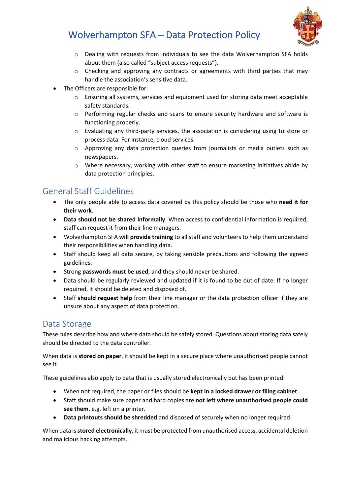

- $\circ$  Dealing with requests from individuals to see the data Wolverhampton SFA holds about them (also called "subject access requests").
- o Checking and approving any contracts or agreements with third parties that may handle the association's sensitive data.
- The Officers are responsible for:
	- $\circ$  Ensuring all systems, services and equipment used for storing data meet acceptable safety standards.
	- o Performing regular checks and scans to ensure security hardware and software is functioning properly.
	- o Evaluating any third-party services, the association is considering using to store or process data. For instance, cloud services.
	- $\circ$  Approving any data protection queries from journalists or media outlets such as newspapers.
	- o Where necessary, working with other staff to ensure marketing initiatives abide by data protection principles.

## General Staff Guidelines

- The only people able to access data covered by this policy should be those who **need it for their work**.
- **Data should not be shared informally**. When access to confidential information is required, staff can request it from their line managers.
- Wolverhampton SFA **will provide training** to all staff and volunteers to help them understand their responsibilities when handling data.
- Staff should keep all data secure, by taking sensible precautions and following the agreed guidelines.
- Strong **passwords must be used**, and they should never be shared.
- Data should be regularly reviewed and updated if it is found to be out of date. If no longer required, it should be deleted and disposed of.
- Staff **should request help** from their line manager or the data protection officer if they are unsure about any aspect of data protection.

## Data Storage

These rules describe how and where data should be safely stored. Questions about storing data safely should be directed to the data controller.

When data is **stored on paper**, it should be kept in a secure place where unauthorised people cannot see it.

These guidelines also apply to data that is usually stored electronically but has been printed.

- When not required, the paper or files should be **kept in a locked drawer or filing cabinet**.
- Staff should make sure paper and hard copies are **not left where unauthorised people could see them**, e.g. left on a printer.
- **Data printouts should be shredded** and disposed of securely when no longer required.

When data is **stored electronically**, it must be protected from unauthorised access, accidental deletion and malicious hacking attempts.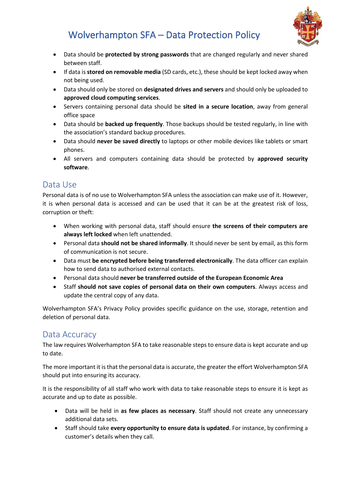

- Data should be **protected by strong passwords** that are changed regularly and never shared between staff.
- If data is **stored on removable media** (SD cards, etc.), these should be kept locked away when not being used.
- Data should only be stored on **designated drives and servers** and should only be uploaded to **approved cloud computing services**.
- Servers containing personal data should be **sited in a secure location**, away from general office space
- Data should be **backed up frequently**. Those backups should be tested regularly, in line with the association's standard backup procedures.
- Data should **never be saved directly** to laptops or other mobile devices like tablets or smart phones.
- All servers and computers containing data should be protected by **approved security software**.

### Data Use

Personal data is of no use to Wolverhampton SFA unless the association can make use of it. However, it is when personal data is accessed and can be used that it can be at the greatest risk of loss, corruption or theft:

- When working with personal data, staff should ensure **the screens of their computers are always left locked** when left unattended.
- Personal data **should not be shared informally**. It should never be sent by email, as this form of communication is not secure.
- Data must **be encrypted before being transferred electronically**. The data officer can explain how to send data to authorised external contacts.
- Personal data should **never be transferred outside of the European Economic Area**
- Staff **should not save copies of personal data on their own computers**. Always access and update the central copy of any data.

Wolverhampton SFA's Privacy Policy provides specific guidance on the use, storage, retention and deletion of personal data.

## Data Accuracy

The law requires Wolverhampton SFA to take reasonable steps to ensure data is kept accurate and up to date.

The more important it is that the personal data is accurate, the greater the effort Wolverhampton SFA should put into ensuring its accuracy.

It is the responsibility of all staff who work with data to take reasonable steps to ensure it is kept as accurate and up to date as possible.

- Data will be held in **as few places as necessary**. Staff should not create any unnecessary additional data sets.
- Staff should take **every opportunity to ensure data is updated**. For instance, by confirming a customer's details when they call.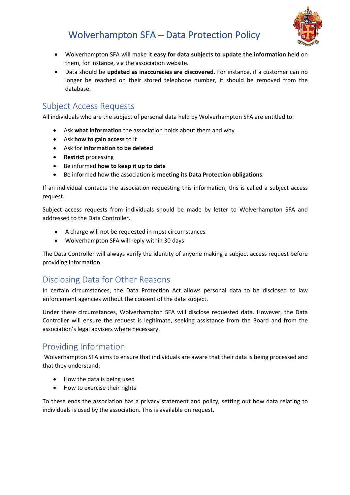

- Wolverhampton SFA will make it **easy for data subjects to update the information** held on them, for instance, via the association website.
- Data should be **updated as inaccuracies are discovered**. For instance, if a customer can no longer be reached on their stored telephone number, it should be removed from the database.

### Subject Access Requests

All individuals who are the subject of personal data held by Wolverhampton SFA are entitled to:

- Ask **what information** the association holds about them and why
- Ask **how to gain access** to it
- Ask for **information to be deleted**
- **Restrict** processing
- Be informed **how to keep it up to date**
- Be informed how the association is **meeting its Data Protection obligations**.

If an individual contacts the association requesting this information, this is called a subject access request.

Subject access requests from individuals should be made by letter to Wolverhampton SFA and addressed to the Data Controller.

- A charge will not be requested in most circumstances
- Wolverhampton SFA will reply within 30 days

The Data Controller will always verify the identity of anyone making a subject access request before providing information.

## Disclosing Data for Other Reasons

In certain circumstances, the Data Protection Act allows personal data to be disclosed to law enforcement agencies without the consent of the data subject.

Under these circumstances, Wolverhampton SFA will disclose requested data. However, the Data Controller will ensure the request is legitimate, seeking assistance from the Board and from the association's legal advisers where necessary.

## Providing Information

Wolverhampton SFA aims to ensure that individuals are aware that their data is being processed and that they understand:

- How the data is being used
- How to exercise their rights

To these ends the association has a privacy statement and policy, setting out how data relating to individuals is used by the association. This is available on request.